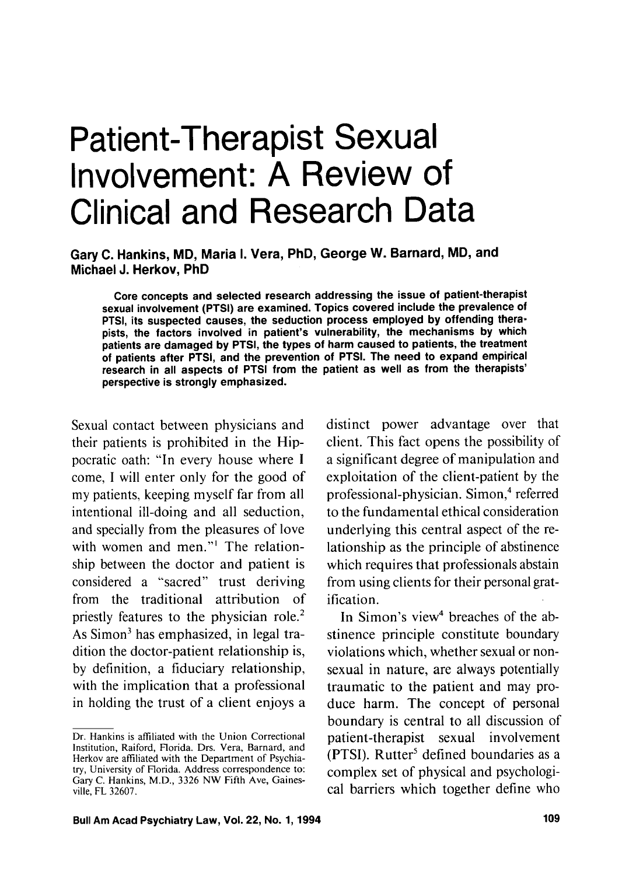# Patient-Therapist Sexual Involvement: A Review of Clinical and Research Data

Gary C. Hankins, MD, Maria I. Vera, PhD, George W. Barnard, MD, and Michael J. Herkov, PhD

Core concepts and selected research addressing the issue of patient-therapist sexual involvement (PTSI) are examined. Topics covered include the prevalence of PTSI, its suspected causes, the seduction process employed by offending therapists, the factors involved in patient's vulnerability, the mechanisms by which patients are damaged by PTSI, the types of harm caused to patients, the treatment of patients after PTSI, and the prevention of PTSI. The need to expand empirical research in all aspects of PTSI from the patient as well as from the therapists' perspective is strongly emphasized.

Sexual contact between physicians and their patients is prohibited in the Hippocratic oath: "In every house where I come, I will enter only for the good of my patients, keeping myself far from all intentional ill-doing and all seduction, and specially from the pleasures of love with women and men."<sup>1</sup> The relationship between the doctor and patient is considered a "sacred" trust deriving from the traditional attribution of priestly features to the physician role.<sup>2</sup> As Simon<sup>3</sup> has emphasized, in legal tradition the doctor-patient relationship is, by definition, a fiduciary relationship, with the implication that a professional in holding the trust of a client enjoys a distinct power advantage over that client. This fact opens the possibility of a significant degree of manipulation and exploitation of the client-patient by the professional-physician. Simon,<sup>4</sup> referred to the fundamental ethical consideration underlying this central aspect of the relationship as the principle of abstinence which requires that professionals abstain from using clients for their personal gratification.

In Simon's view<sup>4</sup> breaches of the abstinence principle constitute boundary violations which, whether sexual or nonsexual in nature, are always potentially traumatic to the patient and may produce harm. The concept of personal boundary is central to all discussion of patient-therapist sexual involvement (PTSI). Rutter<sup>5</sup> defined boundaries as a complex set of physical and psychological barriers which together define who

Dr. Hankins is affiliated with the Union Correctional Institution, Raiford, Florida. Drs. Vera, Barnard, and Herkov are affiliated with the Department of Psychiatry, University of Florida. Address correspondence to: Gary C. Hankins, M.D., 3326 NW Fifth Ave, Gainesville, FL 32607.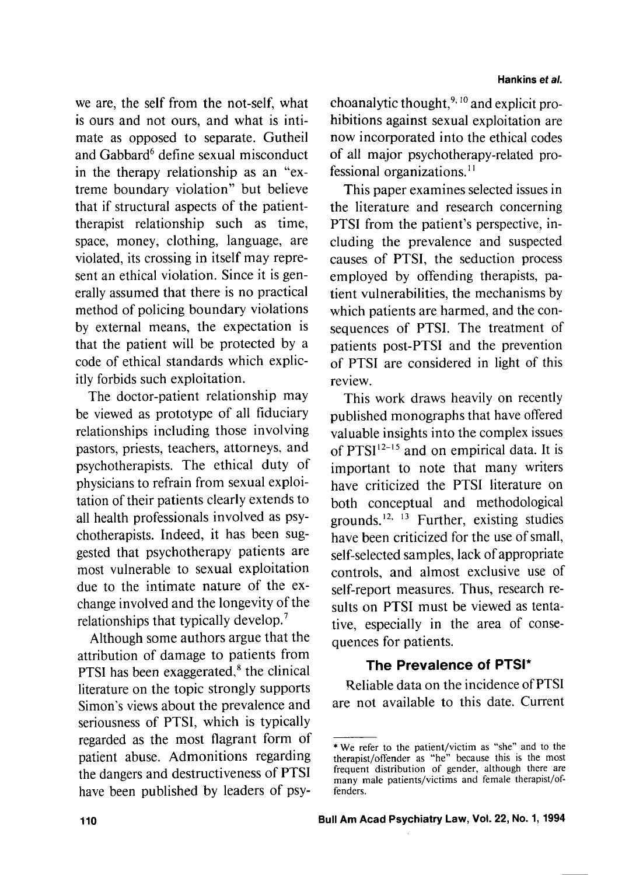we are, the self from the not-self, what is ours and not ours, and what is intimate as opposed to separate. Gutheil and Gabbard<sup>6</sup> define sexual misconduct in the therapy relationship as an "extreme boundary violation" but believe that if structural aspects of the patienttherapist relationship such as time, space, money, clothing, language, are violated, its crossing in itself may represent an ethical violation. Since it is generally assumed that there is no practical method of policing boundary violations by external means, the expectation is that the patient will be protected by a code of ethical standards which explicitly forbids such exploitation.

The doctor-patient relationship may be viewed as prototype of all fiduciary relationships including those involving pastors, priests, teachers, attorneys, and psychotherapists. The ethical duty of physicians to refrain from sexual exploitation of their patients clearly extends to all health professionals involved as psychotherapists. Indeed, it has been suggested that psychotherapy patients are most vulnerable to sexual exploitation due to the intimate nature of the exchange involved and the longevity of the relationships that typically develop.'

Although some authors argue that the attribution of damage to patients from PTSI has been exaggerated, $<sup>8</sup>$  the clinical</sup> literature on the topic strongly supports Simon's views about the prevalence and seriousness of PTSI, which is typically regarded as the most flagrant form of patient abuse. Admonitions regarding the dangers and destructiveness of PTSI have been published by leaders of psychoanalytic thought, $9, 10$  and explicit prohibitions against sexual exploitation are now incorporated into the ethical codes of all major psychotherapy-related professional organizations.<sup>11</sup>

This paper examines selected issues in the literature and research concerning PTSI from the patient's perspective, including the prevalence and suspected causes of PTSI, the seduction process employed by offending therapists, patient vulnerabilities, the mechanisms by which patients are harmed, and the consequences of PTSI. The treatment of patients post-PTSI and the prevention of PTSI are considered in light of this review.

This work draws heavily on recently published monographs that have offered valuable insights into the complex issues of PTSI $12-15$  and on empirical data. It is important to note that many writers have criticized the PTSI literature on both conceptual and methodological grounds.<sup>12, 13</sup> Further, existing studies have been criticized for the use of small, self-selected samples, lack of appropriate controls, and almost exclusive use of self-report measures. Thus, research results on PTSI must be viewed as tentative, especially in the area of consequences for patients.

# **The Prevalence of PTSI\***

Reliable data on the incidence of PTSI are not available to this date. Current

<sup>\*</sup> We refer to the patient/victim as "she" and to the therapist/offender as "he" because this is the most frequent distribution of gender, although there are many male patients/victims and female therapist/offenders.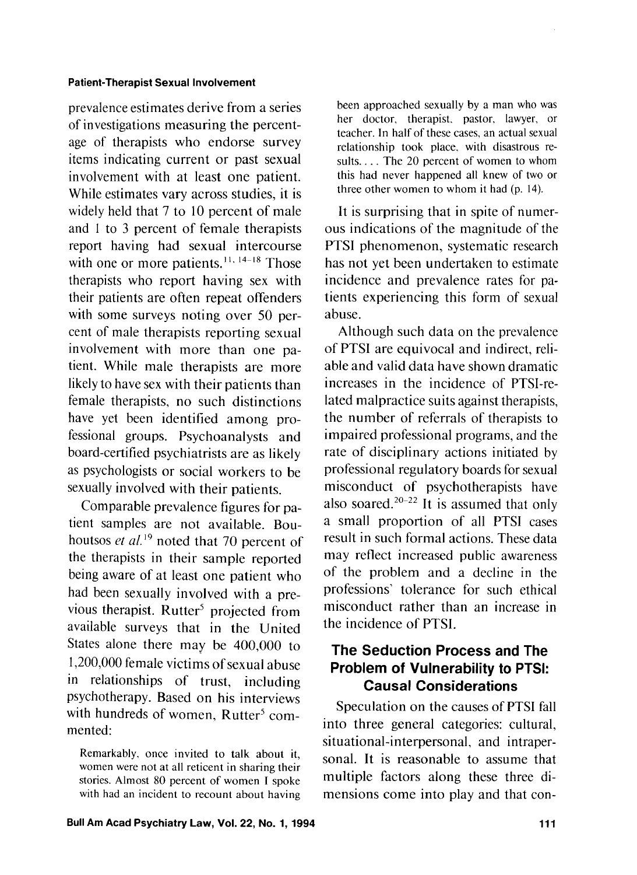prevalence estimates derive from a series of investigations measuring the percentage of therapists who endorse survey items indicating current or past sexual involvement with at least one patient. While estimates vary across studies, it is widely held that 7 to 10 percent of male and 1 to 3 percent of female therapists report having had sexual intercourse with one or more patients.<sup>11, 14-18</sup> Those therapists who report having sex with their patients are often repeat offenders with some surveys noting over 50 percent of male therapists reporting sexual involvement with more than one patient. While male therapists are more likely to have sex with their patients than female therapists, no such distinctions have yet been identified among professional groups. Psychoanalysts and board-certified psychiatrists are as likely as psychologists or social workers to be sexually involved with their patients.

Comparable prevalence figures for patient samples are not available. Bouhoutsos *et al.*<sup>19</sup> noted that 70 percent of the therapists in their sample reported being aware of at least one patient who had been sexually involved with a previous therapist. Rutter<sup>5</sup> projected from available surveys that in the United States alone there may be 400,000 to 1,200,000 female victims of sexual abuse in relationships of trust, including psychotherapy. Based on his interviews with hundreds of women, Rutter<sup>5</sup> commented:

Remarkably, once invited to talk about it, women were not at all reticent in sharing their stories. Almost 80 percent of women I spoke with had an incident to recount about having

been approached sexually by a man who was her doctor, therapist. pastor, lawyer, or teacher. In half of these cases, an actual sexual relationship took place. with disastrous results.... The 20 percent of women to whom this had never happened all knew of two or three other women to whom it had (p. 14).

It is surprising that in spite of numerous indications of the magnitude of the PTSI phenomenon, systematic research has not yet been undertaken to estimate incidence and prevalence rates for patients experiencing this form of sexual abuse.

Although such data on the prevalence of PTSI are equivocal and indirect, reliable and valid data have shown dramatic increases in the incidence of PTSI-related malpractice suits against therapists, the number of referrals of therapists to impaired professional programs, and the rate of disciplinary actions initiated by professional regulatory boards for sexual misconduct of psychotherapists have also soared.<sup>20-22</sup> It is assumed that only a small proportion of all PTSI cases result in such formal actions. These data may reflect increased public awareness of the problem and a decline in the professions' tolerance for such ethical misconduct rather than an increase in the incidence of PTSI.

# **The Seduction Process and The Problem of Vulnerability to PTSI: Causal Considerations**

Speculation on the causes of PTSI fall into three general categories: cultural, situational-interpersonal, and intrapersonal. It is reasonable to assume that multiple factors along these three dimensions come into play and that con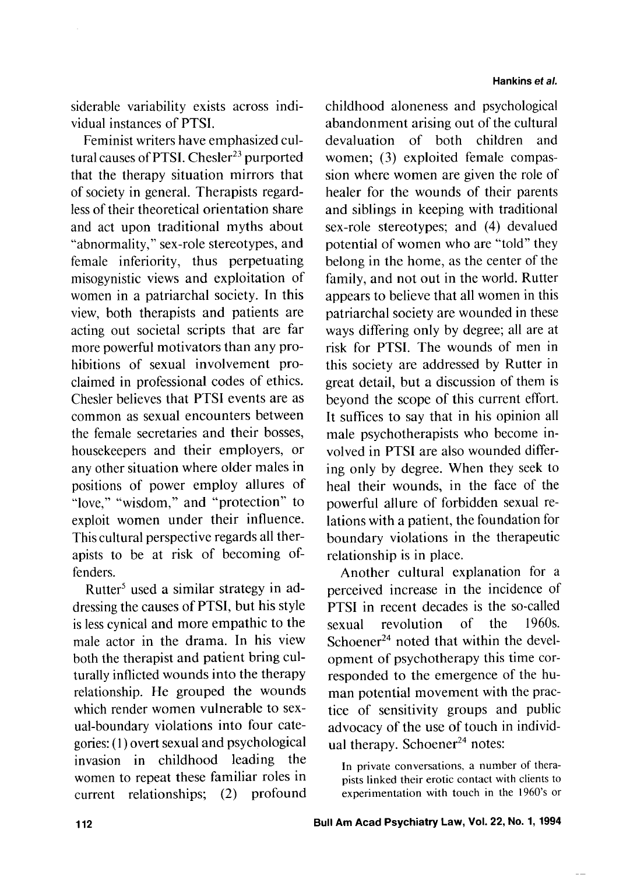siderable variability exists across individual instances of PTSI.

Feminist writers have emphasized cultural causes of PTSI. Chesler $^{23}$  purported that the therapy situation mirrors that of society in general. Therapists regardless of their theoretical orientation share and act upon traditional myths about "abnormality," sex-role stereotypes, and female inferiority, thus perpetuating misogynistic views and exploitation of women in a patriarchal society. In this view, both therapists and patients are acting out societal scripts that are far more powerful motivators than any prohibitions of sexual involvement proclaimed in professional codes of ethics. Chesler believes that PTSI events are as common as sexual encounters between the female secretaries and their bosses, housekeepers and their employers, or any other situation where older males in positions of power employ allures of "love," "wisdom," and "protection" to exploit women under their influence. This cultural perspective regards all therapists to be at risk of becoming offenders.

Rutter<sup>5</sup> used a similar strategy in addressing the causes of PTSI, but his style is less cynical and more empathic to the male actor in the drama. In his view both the therapist and patient bring culturally inflicted wounds into the therapy relationship. He grouped the wounds which render women vulnerable to sexual-boundary violations into four categories: (I) overt sexual and psychological invasion in childhood leading the women to repeat these familiar roles in current relationships; (2) profound

childhood aloneness and psychological abandonment arising out of the cultural devaluation of both children and women; (3) exploited female compassion where women are given the role of healer for the wounds of their parents and siblings in keeping with traditional sex-role stereotypes; and (4) devalued potential of women who are "told" they belong in the home, as the center of the family, and not out in the world. Rutter appears to believe that all women in this patriarchal society are wounded in these ways differing only by degree; all are at risk for PTSI. The wounds of men in this society are addressed by Rutter in great detail, but a discussion of them is beyond the scope of this current effort. It suffices to say that in his opinion all male psychotherapists who become involved in PTSI are also wounded differing only by degree. When they seek to heal their wounds, in the face of the powerful allure of forbidden sexual relations with a patient, the foundation for boundary violations in the therapeutic relationship is in place.

Another cultural explanation for a perceived increase in the incidence of PTSI in recent decades is the so-called sexual revolution of the 1960s. Schoener $^{24}$  noted that within the development of psychotherapy this time corresponded to the emergence of the human potential movement with the practice of sensitivity groups and public advocacy of the use of touch in individual therapy. Schoener $^{24}$  notes:

In private conversations, a number of therapists linked their erotic contact with clients to experimentation with touch in the 1960's or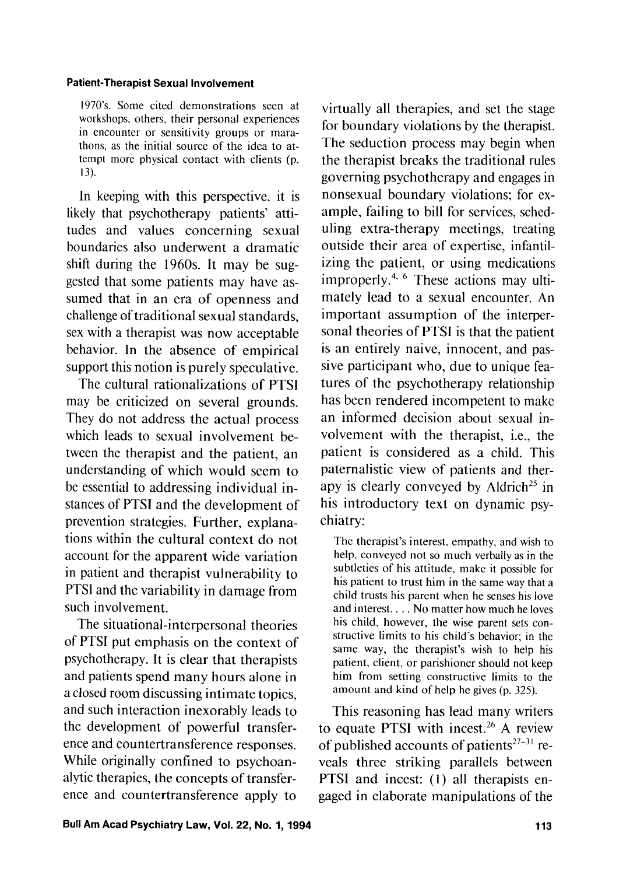1970's. Some cited demonstrations seen at workshops, others, their personal experiences in encounter or sensitivity groups or marathons, as the initial source of the idea to attempt more physical contact with clients (p. 13).

In keeping with this perspective, it is likely that psychotherapy patients' attitudes and values concerning sexual boundaries also underwent a dramatic shift during the 1960s. It may be suggested that some patients may have assumed that in an era of openness and challenge of traditional sexual standards, sex with a therapist was now acceptable behavior. In the absence of empirical support this notion is purely speculative.

The cultural rationalizations of PTSI may be criticized on several grounds. They do not address the actual process which leads to sexual involvement between the therapist and the patient, an understanding of which would seem to be essential to addressing individual instances of PTSI and the development of prevention strategies. Further, explanations within the cultural context do not account for the apparent wide variation in patient and therapist vulnerability to PTSI and the variability in damage from such involvement.

The situational-interpersonal theories of PTSI put emphasis on the context of psychotherapy. It is clear that therapists and patients spend many hours alone in a closed room discussing intimate topics, and such interaction inexorably leads to the development of powerful transference and countertransference responses. While originally confined to psychoanalytic therapies, the concepts of transference and countertransference apply to

virtually all therapies, and set the stage for boundary violations by the therapist. The seduction process may begin when the therapist breaks the traditional rules governing psychotherapy and engages in nonsexual boundary violations; for example, failing to bill for services, scheduling extra-therapy meetings, treating outside their area of expertise, infantilizing the patient, or using medications improperly.<sup>4,  $\epsilon$ </sup> These actions may ultimately lead to a sexual encounter. An important assumption of the interpersonal theories of PTSI is that the patient is an entirely naive, innocent, and passive participant who, due to unique features of the psychotherapy relationship has been rendered incompetent to make an informed decision about sexual involvement with the therapist, i.e., the patient is considered as a child. This paternalistic view of patients and therapy is clearly conveyed by Aldrich<sup>25</sup> in his introductory text on dynamic psychiatry:

The therapist's interest, empathy. and wish to help, conveyed not so much verbally as in the subtleties of his attitude, make it possible for his patient to trust him in the same way that a child trusts his parent when he senses his love and interest. . . . No matter how much he loves his child, however, the wise parent sets constructive limits to his child's behavior; in the same way, the therapist's wish to help his patient, client, or parishioner should not keep him from setting constructive limits to the amount and kind of help he gives (p. 325).

This reasoning has lead many writers to equate PTSI with incest. $26$  A review of published accounts of patients<sup> $27-31$ </sup> reveals three striking parallels between PTSI and incest: (1) all therapists engaged in elaborate manipulations of the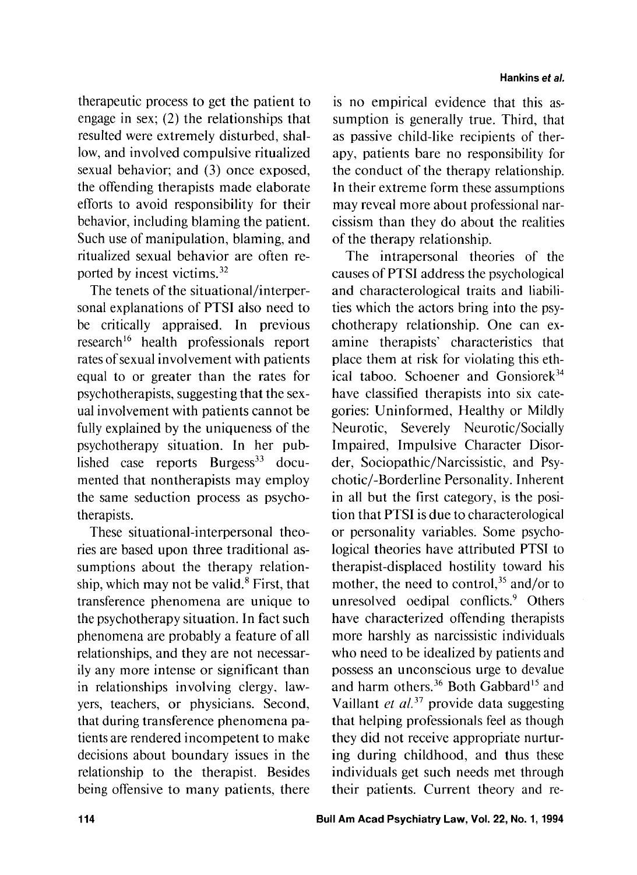therapeutic process to get the patient to engage in sex; (2) the relationships that resulted were extremely disturbed, shallow, and involved compulsive ritualized sexual behavior; and **(3)** once exposed, the offending therapists made elaborate efforts to avoid responsibility for their behavior, including blaming the patient. Such use of manipulation, blaming, and ritualized sexual behavior are often reported by incest victims.32

The tenets of the situational/interpersonal explanations of PTSI also need to be critically appraised. In previous research<sup>16</sup> health professionals report rates of sexual involvement with patients equal to or greater than the rates for psychotherapists, suggesting that the sexual involvement with patients cannot be fully explained by the uniqueness of the psychotherapy situation. In her published case reports  $Burgess^{33}$  documented that nontherapists may employ the same seduction process as psychotherapists.

These situational-interpersonal theories are based upon three traditional assumptions about the therapy relationship, which may not be valid. $8$  First, that transference phenomena are unique to the psychotherapy situation. In fact such phenomena are probably a feature of all relationships, and they are not necessarily any more intense or significant than in relationships involving clergy. lawyers, teachers, or physicians. Second, that during transference phenomena patients are rendered incompetent to make decisions about boundary issues in the relationship to the therapist. Besides being offensive to many patients, there

is no empirical evidence that this assumption is generally true. Third, that as passive child-like recipients of therapy, patients bare no responsibility for the conduct of the therapy relationship. In their extreme form these assumptions may reveal more about professional narcissism than they do about the realities of the therapy relationship.

The intrapersonal theories of the causes of PTSI address the psychological and characterological traits and liabilities which the actors bring into the psychotherapy relationship. One can examine therapists' characteristics that place them at risk for violating this ethical taboo. Schoener and Gonsiorek<sup>34</sup> have classified therapists into six categories: Uninformed, Healthy or Mildly Neurotic, Severely Neurotic/Socially Impaired, Impulsive Character Disorder, Sociopathic/Narcissistic, and Psychotic/-Borderline Personality. Inherent in all but the first category, is the position that PTSI is due to characterological or personality variables. Some psychological theories have attributed PTSI to therapist-displaced hostility toward his mother, the need to control, $35$  and/or to unresolved oedipal conflicts.<sup>9</sup> Others have characterized offending therapists more harshly as narcissistic individuals who need to be idealized by patients and possess an unconscious urge to devalue and harm others. $36$  Both Gabbard<sup>15</sup> and Vaillant *et aL3'* provide data suggesting that helping professionals feel as though they did not receive appropriate nurturing during childhood, and thus these individuals get such needs met through their patients. Current theory and re-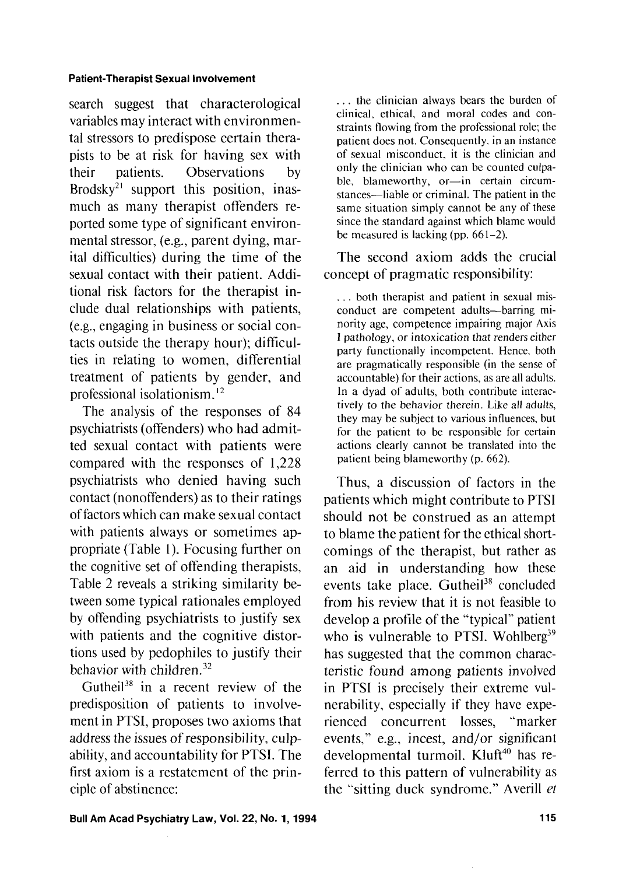search suggest that characterological variables may interact with environmental stressors to predispose certain therapists to be at risk for having sex with their patients. Observations by Brodsky<sup>21</sup> support this position, inasmuch as many therapist offenders reported some type of significant environmental stressor, (e.g., parent dying, marital difticulties) during the time of the sexual contact with their patient. Additional risk factors for the therapist include dual relationships with patients, (e.g., engaging in business or social contacts outside the therapy hour); dificulties in relating to women, differential treatment of patients by gender, and professional isolationism.12

The analysis of the responses of 84 psychiatrists (offenders) who had admitted sexual contact with patients were compared with the responses of 1,228 psychiatrists who denied having such contact (nonoffenders) as to their ratings of factors which can make sexual contact with patients always or sometimes appropriate (Table I). Focusing further on the cognitive set of offending therapists, Table 2 reveals a striking similarity between some typical rationales employed by offending psychiatrists to justify sex with patients and the cognitive distortions used by pedophiles to justify their behavior with children.<sup>32</sup>

Gutheil<sup>38</sup> in a recent review of the predisposition of patients to involvement in PTSI, proposes two axioms that address the issues of responsibility, culpability, and accountability for PTSI. The first axiom is a restatement of the principle of abstinence:

. . . the clinician always bears the burden of clinical, ethical, and moral codes and constraints flowing from the professional role; the patient does not. Consequently. in an instance of sexual misconduct, it is the clinician and only the clinician who can be counted culpable, blameworthy, or-in certain circumstances-liable or criminal. The patient in the same situation simply cannot be any of these since the standard against which blame would be measured is lacking (pp.  $661-2$ ).

The second axiom adds the crucial concept of pragmatic responsibility:

. . . both therapist and patient in sexual misconduct are competent adults-barring minority age, competence impairing major Axis I pathology, or intoxication that renders either party functionally incompetent. Hence, both are pragmatically responsible (in the sense of accountable) for their actions, as are all adults. In a dyad of adults, both contribute interactively to the behavior therein. Like all adults, they may be subject to various influences, but for the patient to be responsible for certain actions clearly cannot be translated into the patient being blameworthy (p. 662).

Thus, a discussion of factors in the patients which might contribute to PTSI should not be construed as an attempt to blame the patient for the ethical shortcomings of the therapist, but rather as an aid in understanding how these events take place. Gutheil $38$  concluded from his review that it is not feasible to develop a profile of the "typical" patient who is vulnerable to PTSI. Wohlberg<sup>39</sup> has suggested that the common characteristic found among patients involved in PTSI is precisely their extreme vulnerability, especially if they have experienced concurrent losses, "marker events," e.g., incest, and/or significant developmental turmoil. Kluft<sup>40</sup> has referred to this pattern of vulnerability as the "sitting duck syndrome." Averill *et*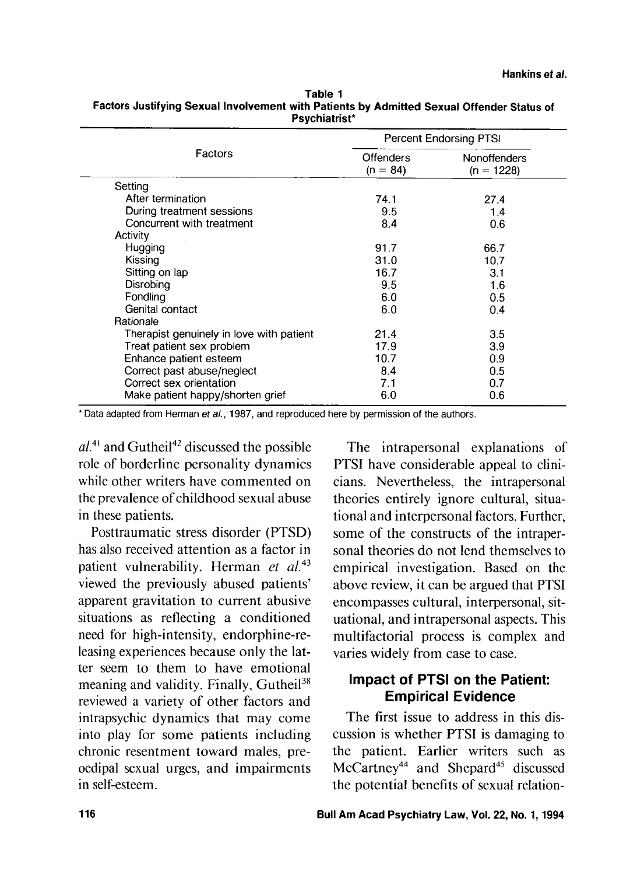| Factors                                  | Percent Endorsing PTSI  |                                     |
|------------------------------------------|-------------------------|-------------------------------------|
|                                          | Offenders<br>$(n = 84)$ | <b>Nonoffenders</b><br>$(n = 1228)$ |
| Setting                                  |                         |                                     |
| After termination                        | 74.1                    | 27.4                                |
| During treatment sessions                | 9.5                     | 1.4                                 |
| Concurrent with treatment                | 8.4                     | 0.6                                 |
| Activity                                 |                         |                                     |
| Hugging                                  | 91.7                    | 66.7                                |
| Kissing                                  | 31.0                    | 10.7                                |
| Sitting on lap                           | 16.7                    | 3.1                                 |
| Disrobing                                | 9.5                     | 1.6                                 |
| Fondling                                 | 6.0                     | 0.5                                 |
| Genital contact                          | 6.0                     | 0.4                                 |
| Rationale                                |                         |                                     |
| Therapist genuinely in love with patient | 21.4                    | 3.5                                 |
| Treat patient sex problem                | 17.9                    | 3.9                                 |
| Enhance patient esteem                   | 10.7                    | 0.9                                 |
| Correct past abuse/neglect               | 8.4                     | 0.5                                 |
| Correct sex orientation                  | 7.1                     | 0.7                                 |
| Make patient happy/shorten grief         | 6.0                     | 0.6                                 |

**Table 1 Factors Justifying Sexual Involvement with Patients by Admitted Sexual Offender Status of Psychiatrist\*** 

\* Data adapted from Herman et al., 1987, and reproduced here by permission of the authors.

 $al^{4}$  and Gutheil<sup>42</sup> discussed the possible role of borderline personality dynamics while other writers have commented on the prevalence of childhood sexual abuse in these patients.

Posttraumatic stress disorder (PTSD) has also received attention as a factor in patient vulnerability. Herman *et al.*<sup>43</sup> viewed the previously abused patients' apparent gravitation to current abusive situations as reflecting a conditioned need for high-intensity, endorphine-releasing experiences because only the latter seem to them to have emotional meaning and validity. Finally, Gutheil<sup>38</sup> reviewed a variety of other factors and intrapsychic dynamics that may come into play for some patients including chronic resentment toward males, preoedipal sexual urges, and impairments in self-esteem.

The intrapersonal explanations of PTSI have considerable appeal to clinicians. Nevertheless, the intrapersonal theories entirely ignore cultural, situational and interpersonal factors. Further, some of the constructs of the intrapersonal theories do not lend themselves to empirical investigation. Based on the above review, it can be argued that PTSI encompasses cultural, interpersonal, situational, and intrapersonal aspects. This multifactorial process is complex and varies widely from case to case.

## **Impact of PTSI on the Patient: Empirical Evidence**

The first issue to address in this discussion is whether PTSI is damaging to the patient. Earlier writers such as McCartney<sup>44</sup> and Shepard<sup>45</sup> discussed the potential benefits of sexual relation-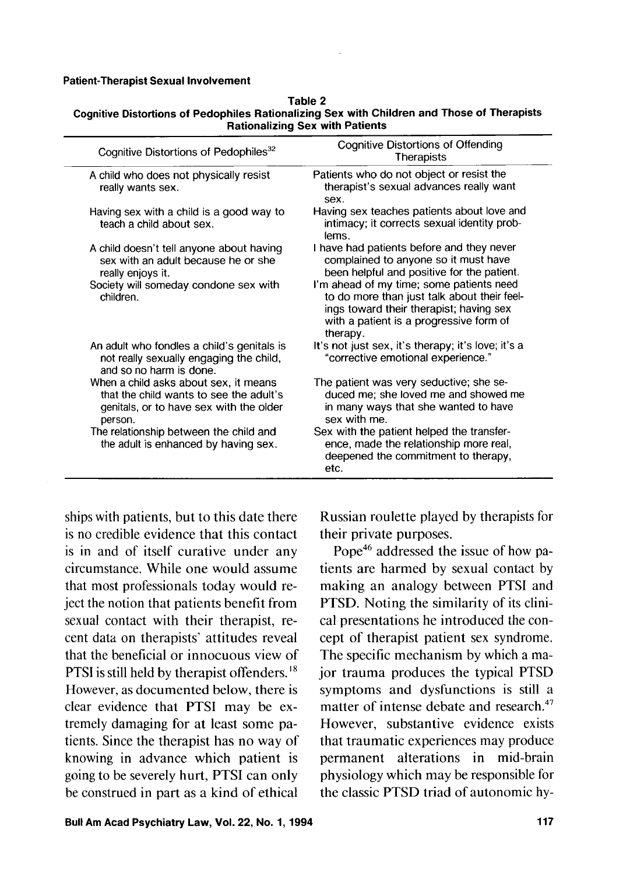| ۱<br>г |  |
|--------|--|
|--------|--|

| nauvnanznig och mun i auchto                                                                                                           |                                                                                                                                                                                           |  |
|----------------------------------------------------------------------------------------------------------------------------------------|-------------------------------------------------------------------------------------------------------------------------------------------------------------------------------------------|--|
| Cognitive Distortions of Pedophiles <sup>32</sup>                                                                                      | <b>Cognitive Distortions of Offending</b><br>Therapists                                                                                                                                   |  |
| A child who does not physically resist<br>really wants sex.                                                                            | Patients who do not object or resist the<br>therapist's sexual advances really want<br>sex.                                                                                               |  |
| Having sex with a child is a good way to<br>teach a child about sex.                                                                   | Having sex teaches patients about love and<br>intimacy; it corrects sexual identity prob-<br>lems.                                                                                        |  |
| A child doesn't tell anyone about having<br>sex with an adult because he or she<br>really enjoys it.                                   | I have had patients before and they never<br>complained to anyone so it must have<br>been helpful and positive for the patient.                                                           |  |
| Society will someday condone sex with<br>children.                                                                                     | I'm ahead of my time; some patients need<br>to do more than just talk about their feel-<br>ings toward their therapist; having sex<br>with a patient is a progressive form of<br>therapy. |  |
| An adult who fondles a child's genitals is<br>not really sexually engaging the child,<br>and so no harm is done.                       | It's not just sex, it's therapy; it's love; it's a<br>"corrective emotional experience."                                                                                                  |  |
| When a child asks about sex, it means<br>that the child wants to see the adult's<br>genitals, or to have sex with the older<br>person. | The patient was very seductive; she se-<br>duced me; she loved me and showed me<br>in many ways that she wanted to have<br>sex with me.                                                   |  |
| The relationship between the child and<br>the adult is enhanced by having sex.                                                         | Sex with the patient helped the transfer-<br>ence, made the relationship more real,<br>deepened the commitment to therapy,<br>etc.                                                        |  |

**Cognitive Distortions of Pedophiles Rationalizing Sex with Children and Those of Therapists Rationalizing Sex with Patients** 

ships with patients, but to this date there is no credible evidence that this contact is in and of itself curative under any circumstance. While one would assume that most professionals today would reject the notion that patients benefit from sexual contact with their therapist, recent data on therapists' attitudes reveal that the beneficial or innocuous view of PTSI is still held by therapist offenders.<sup>18</sup> However, as documented below, there is clear evidence that PTSI may be extremely damaging for at least some patients. Since the therapist has no way of knowing in advance which patient is going to be severely hurt, PTSI can only be construed in part as a kind of ethical

Russian roulette played by therapists for their private purposes.

Pope<sup>46</sup> addressed the issue of how patients are harmed by sexual contact by making an analogy between PTSI and PTSD. Noting the similarity of its clinical presentations he introduced the concept of therapist patient sex syndrome. The specific mechanism by which a major trauma produces the typical PTSD symptoms and dysfunctions is still a matter of intense debate and research. $47$ However, substantive evidence exists that traumatic experiences may produce permanent alterations in mid-brain physiology which may be responsible for the classic PTSD triad of autonomic hy-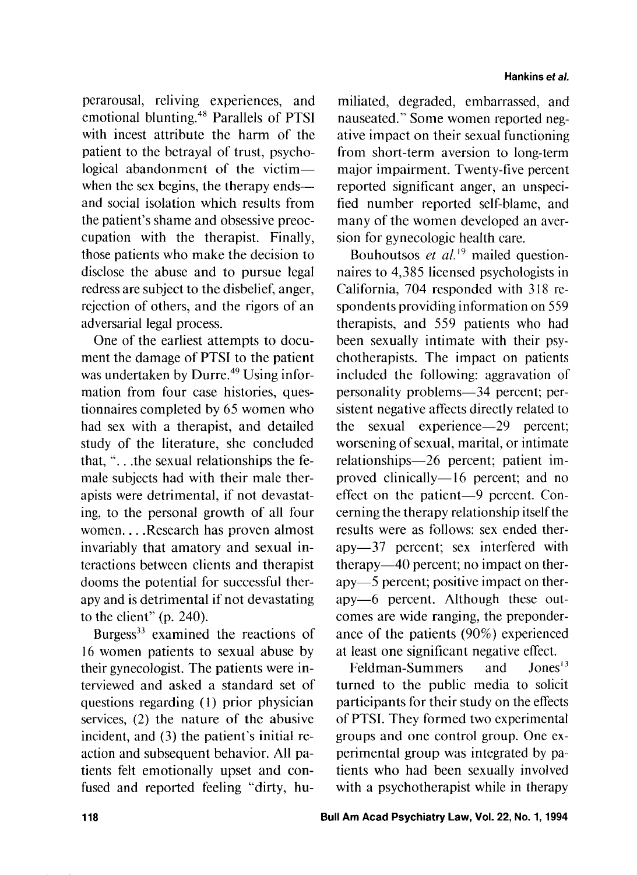perarousal, reliving experiences, and emotional blunting.<sup>48</sup> Parallels of PTSI with incest attribute the harm of the patient to the betrayal of trust, psychological abandonment of the victimwhen the sex begins, the therapy ends and social isolation which results from the patient's shame and obsessive preoccupation with the therapist. Finally, those patients who make the decision to disclose the abuse and to pursue legal redress are subject to the disbelief, anger, rejection of others, and the rigors of an adversarial legal process.

One of the earliest attempts to document the damage of PTSI to the patient was undertaken by Durre. $49$  Using information from four case histories, questionnaires completed by 65 women who had sex with a therapist, and detailed study of the literature, she concluded that, ". . .the sexual relationships the female subjects had with their male therapists were detrimental, if not devastating, to the personal growth of all four women. . . . Research has proven almost invariably that amatory and sexual interactions between clients and therapist dooms the potential for successful therapy and is detrimental if not devastating to the client" (p. 240).

Burgess<sup>33</sup> examined the reactions of 16 women patients to sexual abuse by their gynecologist. The patients were interviewed and asked a standard set of questions regarding ( **1** ) prior physician services, (2) the nature of the abusive incident, and (3) the patient's initial reaction and subsequent behavior. All patients felt emotionally upset and confused and reported feeling "dirty, hu-

miliated, degraded, embarrassed, and nauseated." Some women reported negative impact on their sexual functioning from short-term aversion to long-term major impairment. Twenty-five percent reported significant anger, an unspecified number reported self-blame, and many of the women developed an aversion for gynecologic health care.

Bouhoutsos *et al.*<sup>19</sup> mailed questionnaires to 4,385 licensed psychologists in California, 704 responded with 318 respondents providing information on 559 therapists, and 559 patients who had been sexually intimate with their psychotherapists. The impact on patients included the following: aggravation of personality problems—34 percent; persistent negative affects directly related to the sexual experience-29 percent; worsening of sexual, marital, or intimate relationships-26 percent; patient improved clinically—16 percent; and no effect on the patient-9 percent. Concerning the therapy relationship itself the results were as follows: sex ended therapy-37 percent; sex interfered with therapy-40 percent; no impact on therapy-5 percent; positive impact on therapy-6 percent. Although these outcomes are wide ranging, the preponderance of the patients (90%) experienced at least one significant negative effect.

Feldman-Summers and Jones<sup>13</sup> turned to the public media to solicit participants for their study on the effects of PTSI. They formed two experimental groups and one control group. One experimental group was integrated by patients who had been sexually involved with a psychotherapist while in therapy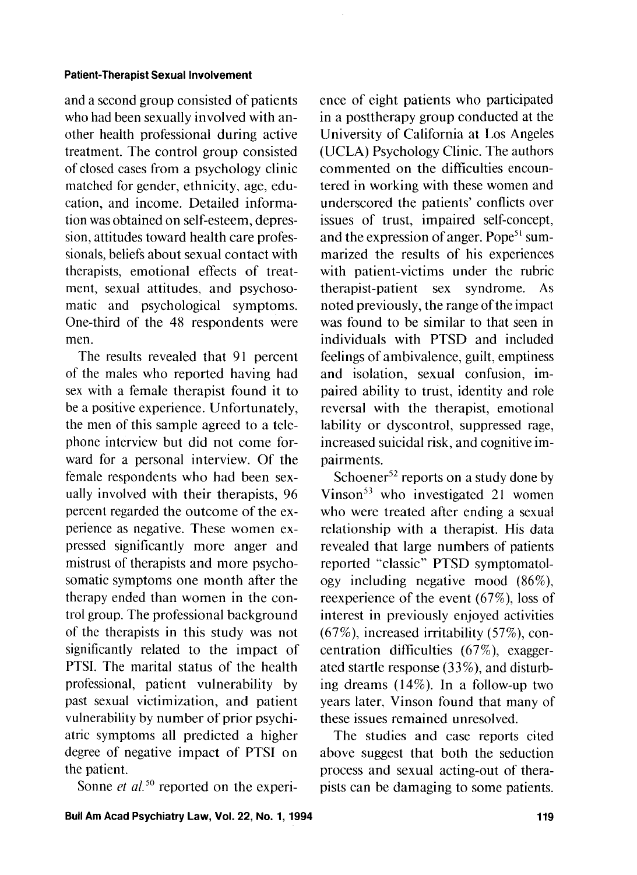and a second group consisted of patients who had been sexually involved with another health professional during active treatment. The control group consisted of closed cases from a psychology clinic matched for gender, ethnicity, age, education, and income. Detailed information was obtained on self-esteem, depression, attitudes toward health care professionals, beliefs about sexual contact with therapists, emotional effects of treatment, sexual attitudes, and psychosomatic and psychological symptoms. One-third of the 48 respondents were men.

The results revealed that 91 percent of the males who reported having had sex with a female therapist found it to be a positive experience. Unfortunately, the men of this sample agreed to a telephone interview but did not come forward for a personal interview. Of the female respondents who had been sexually involved with their therapists, 96 percent regarded the outcome of the experience as negative. These women expressed significantly more anger and mistrust of therapists and more psychosomatic symptoms one month after the therapy ended than women in the control group. The professional background of the therapists in this study was not significantly related to the impact of PTSI. The marital status of the health professional, patient vulnerability by past sexual victimization, and patient vulnerability by number of prior psychiatric symptoms all predicted a higher degree of negative impact of PTSI on the patient.

Sonne *et al.*<sup>50</sup> reported on the experi-

ence of eight patients who participated in a posttherapy group conducted at the University of California at Los Angeles (UCLA) Psychology Clinic. The authors commented on the difficulties encountered in working with these women and underscored the patients' conflicts over issues of trust, impaired self-concept, and the expression of anger. Pope<sup>51</sup> summarized the results of his experiences with patient-victims under the rubric therapist-patient sex syndrome. As noted previously, the range of the impact was found to be similar to that seen in individuals with PTSD and included feelings of ambivalence, guilt, emptiness and isolation, sexual confusion, impaired ability to trust, identity and role reversal with the therapist, emotional lability or dyscontrol, suppressed rage, increased suicidal risk, and cognitive impairments.

Schoener<sup>52</sup> reports on a study done by Vinson $<sup>53</sup>$  who investigated 21 women</sup> who were treated after ending a sexual relationship with a therapist. His data revealed that large numbers of patients reported "classic" PTSD symptomatology including negative mood (86%), reexperience of the event (67%), loss of interest in previously enjoyed activities (67%), increased irritability (57%), concentration difficulties (67%), exaggerated startle response (33%), and disturbing dreams (14%). In a follow-up two years later, Vinson found that many of these issues remained unresolved.

The studies and case reports cited above suggest that both the seduction process and sexual acting-out of therapists can be damaging to some patients.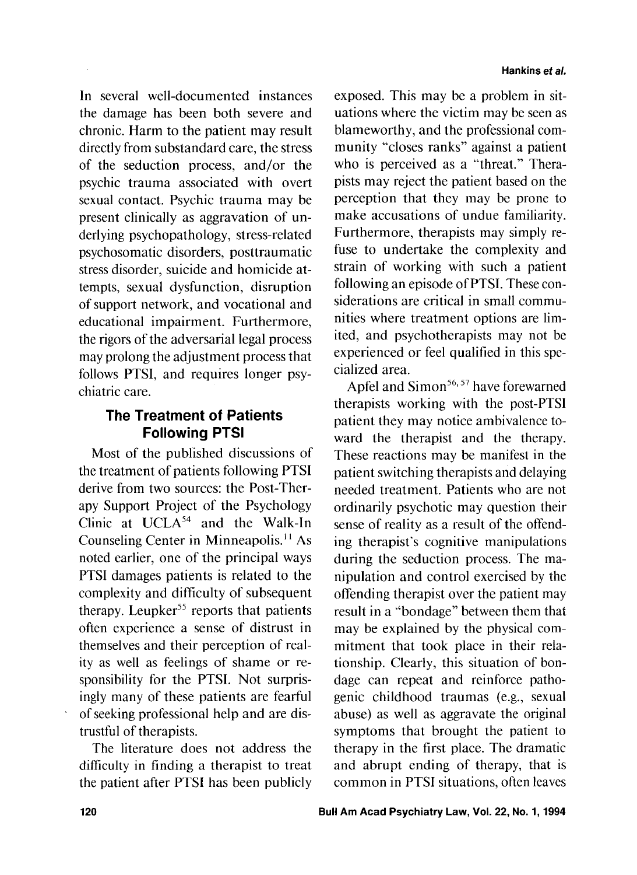In several well-documented instances the damage has been both severe and chronic. Harm to the patient may result directly from substandard care, the stress of the seduction process, and/or the psychic trauma associated with overt sexual contact. Psychic trauma may be present clinically as aggravation of underlying psychopathology, stress-related psychosomatic disorders, posttraumatic stress disorder, suicide and homicide attempts, sexual dysfunction, disruption of support network, and vocational and educational impairment. Furthermore, the rigors of the adversarial legal process may prolong the adjustment process that follows PTSI, and requires longer psychiatric care.

## **The Treatment of Patients Following PTSI**

Most of the published discussions of the treatment of patients following PTSI derive from two sources: the Post-Therapy Support Project of the Psychology Clinic at UCLA<sup>54</sup> and the Walk-In Counseling Center in Minneapolis.'' As noted earlier, one of the principal ways PTSI damages patients is related to the complexity and dificulty of subsequent therapy. Leupker<sup>55</sup> reports that patients often experience a sense of distrust in themselves and their perception of reality as well as feelings of shame or responsibility for the PTSI. Not surprisingly many of these patients are fearful of seeking professional help and are distrustful of therapists.

The literature does not address the difficulty in finding a therapist to treat the patient after PTSI has been publicly

exposed. This may be a problem in situations where the victim may be seen as blameworthy, and the professional community "closes ranks" against a patient who is perceived as a "threat." Therapists may reject the patient based on the perception that they may be prone to make accusations of undue familiarity. Furthermore, therapists may simply refuse to undertake the complexity and strain of working with such a patient following an episode of PTSI. These considerations are critical in small communities where treatment options are limited, and psychotherapists may not be experienced or feel qualified in this specialized area.

Apfel and Simon<sup>56, 57</sup> have forewarned therapists working with the post-PTSI patient they may notice ambivalence toward the therapist and the therapy. These reactions may be manifest in the patient switching therapists and delaying needed treatment. Patients who are not ordinarily psychotic may question their sense of reality as a result of the offending therapist's cognitive manipulations during the seduction process. The manipulation and control exercised by the offending therapist over the patient may result in a "bondage" between them that may be explained by the physical commitment that took place in their relationship. Clearly, this situation of bondage can repeat and reinforce pathogenic childhood traumas (e.g., sexual abuse) as well as aggravate the original symptoms that brought the patient to therapy in the first place. The dramatic and abrupt ending of therapy, that is common in PTSI situations, often leaves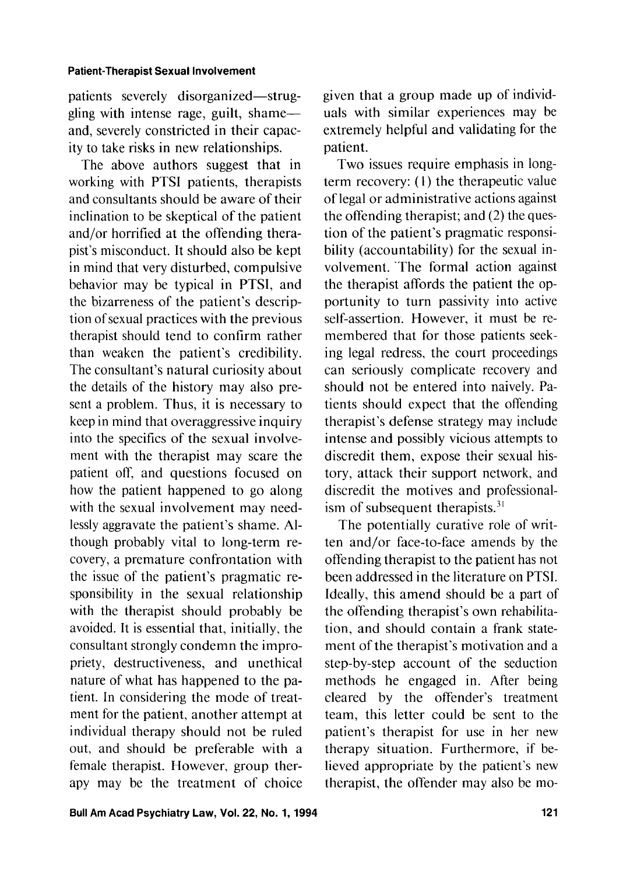patients severely disorganized-struggling with intense rage, guilt, shameand, severely constricted in their capacity to take risks in new relationships.

The above authors suggest that in working with PTSI patients, therapists and consultants should be aware of their inclination to be skeptical of the patient and/or horrified at the offending therapist's misconduct. It should also be kept in mind that very disturbed, compulsive behavior may be typical in PTSI, and the bizarreness of the patient's description of sexual practices with the previous therapist should tend to confirm rather than weaken the patient's credibility. The consultant's natural curiosity about the details of the history may also present a problem. Thus, it is necessary to keep in mind that overaggressive inquiry into the specifics of the sexual involvement with the therapist may scare the patient off, and questions focused on how the patient happened to go along with the sexual involvement may needlessly aggravate the patient's shame. Although probably vital to long-term recovery, a premature confrontation with the issue of the patient's pragmatic responsibility in the sexual relationship with the therapist should probably be avoided. It is essential that, initially, the consultant strongly condemn the impropriety, destructiveness, and unethical nature of what has happened to the patient. In considering the mode of treatment for the patient, another attempt at individual therapy should not be ruled out, and should be preferable with a female therapist. However, group therapy may be the treatment of choice given that a group made up of individuals with similar experiences may be extremely helpful and validating for the patient.

Two issues require emphasis in longterm recovery: (I) the therapeutic value of legal or administrative actions against the offending therapist; and (2) the question of the patient's pragmatic responsibility (accountability) for the sexual involvement. 'The formal action against the therapist affords the patient the opportunity to turn passivity into active self-assertion. However, it must be remembered that for those patients seeking legal redress, the court proceedings can seriously complicate recovery and should not be entered into naively. Patients should expect that the offending therapist's defense strategy may include intense and possibly vicious attempts to discredit them, expose their sexual history, attack their support network, and discredit the motives and professionalism of subsequent therapists. $31$ 

The potentially curative role of written and/or face-to-face amends by the offending therapist to the patient has not been addressed in the literature on PTSI. Ideally, this amend should be a part of the offending therapist's own rehabilitation, and should contain a frank statement of the therapist's motivation and a step-by-step account of the seduction methods he engaged in. After being cleared by the offender's treatment team, this letter could be sent to the patient's therapist for use in her new therapy situation. Furthermore, if believed appropriate by the patient's new therapist, the offender may also be mo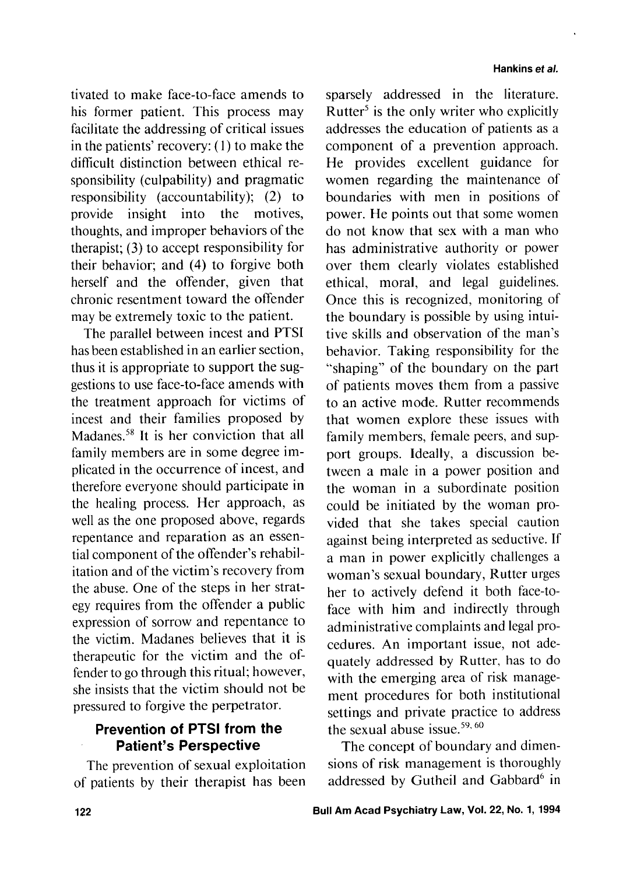tivated to make face-to-face amends to his former patient. This process may facilitate the addressing of critical issues in the patients' recovery: (1) to make the difficult distinction between ethical responsibility (culpability) and pragmatic responsibility (accountability); (2) to provide insight into the motives, thoughts, and improper behaviors of the therapist; (3) to accept responsibility for their behavior; and (4) to forgive both herself and the offender, given that chronic resentment toward the offender may be extremely toxic to the patient.

The parallel between incest and PTSI has been established in an earlier section, thus it is appropriate to support the suggestions to use face-to-face amends with the treatment approach for victims of incest and their families proposed by Madanes.<sup>58</sup> It is her conviction that all family members are in some degree implicated in the occurrence of incest, and therefore everyone should participate in the healing process. Her approach, as well as the one proposed above, regards repentance and reparation as an essential component of the offender's rehabilitation and of the victim's recovery from the abuse. One of the steps in her strategy requires from the offender a public expression of sorrow and repentance to the victim. Madanes believes that it is therapeutic for the victim and the offender to go through this ritual; however, she insists that the victim should not be pressured to forgive the perpetrator.

## **Prevention of PTSI from the Patient's Perspective**

The prevention of sexual exploitation of patients by their therapist has been sparsely addressed in the literature. Rutter<sup>5</sup> is the only writer who explicitly addresses the education of patients as a component of a prevention approach. He provides excellent guidance for women regarding the maintenance of boundaries with men in positions of power. He points out that some women do not know that sex with a man who has administrative authority or power over them clearly violates established ethical, moral, and legal guidelines. Once this is recognized, monitoring of the boundary is possible by using intuitive skills and observation of the man's behavior. Taking responsibility for the "shaping" of the boundary on the part of patients moves them from a passive to an active mode. Rutter recommends that women explore these issues with family members, female peers, and support groups. Ideally, a discussion between a male in a power position and the woman in a subordinate position could be initiated by the woman provided that she takes special caution against being interpreted as seductive. If a man in power explicitly challenges a woman's sexual boundary, Rutter urges her to actively defend it both face-toface with him and indirectly through administrative complaints and legal procedures. An important issue, not adequately addressed by Rutter, has to do with the emerging area of risk management procedures for both institutional settings and private practice to address the sexual abuse issue. $59,60$ 

The concept of boundary and dimensions of risk management is thoroughly addressed by Gutheil and Gabbard<sup>6</sup> in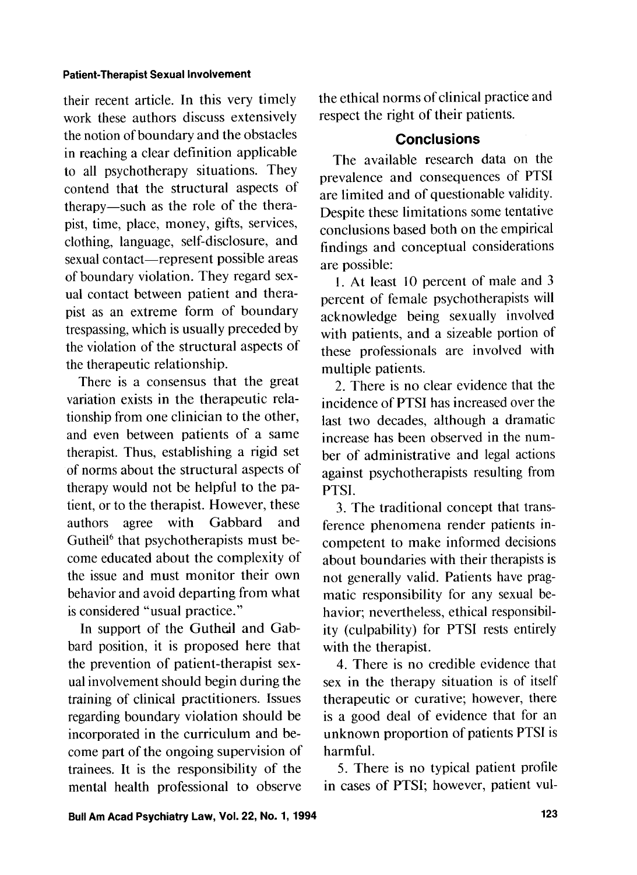their recent article. In this very timely work these authors discuss extensively the notion of boundary and the obstacles in reaching a clear definition applicable to all psychotherapy situations. They contend that the structural aspects of therapy-such as the role of the therapist, time, place, money, gifts, services, clothing, language, self-disclosure, and sexual contact—represent possible areas of boundary violation. They regard sexual contact between patient and therapist as an extreme form of boundary trespassing, which is usually preceded by the violation of the structural aspects of the therapeutic relationship.

There is a consensus that the great variation exists in the therapeutic relationship from one clinician to the other, and even between patients of a same therapist. Thus, establishing a rigid set of norms about the structural aspects of therapy would not be helpful to the patient, or to the therapist. However, these authors agree with Gabbard and Gutheil<sup>6</sup> that psychotherapists must become educated about the complexity of the issue and must monitor their own behavior and avoid departing from what is considered "usual practice."

In support of the Gutheil and Gabbard position, it is proposed here that the prevention of patient-therapist sexual involvement should begin during the training of clinical practitioners. Issues regarding boundary violation should be incorporated in the curriculum and become part of the ongoing supervision of trainees. It is the responsibility of the mental health professional to observe

the ethical norms of clinical practice and respect the right of their patients.

## **Conclusions**

The available research data on the prevalence and consequences of PTSI are limited and of questionable validity. Despite these limitations some tentative conclusions based both on the empirical findings and conceptual considerations are possible:

**1.** At least 10 percent of male and **3**  percent of female psychotherapists will acknowledge being sexually involved with patients, and a sizeable portion of these professionals are involved with multiple patients.

2. There is no clear evidence that the incidence of PTSI has increased over the last two decades, although a dramatic increase has been observed in the number of administrative and legal actions against psychotherapists resulting from PTSI.

**3.** The traditional concept that transference phenomena render patients incompetent to make informed decisions about boundaries with their therapists is not generally valid. Patients have pragmatic responsibility for any sexual behavior; nevertheless, ethical responsibility (culpability) for PTSI rests entirely with the therapist.

4. There is no credible evidence that sex in the therapy situation is of itself therapeutic or curative; however, there is a good deal of evidence that for an unknown proportion of patients PTSI is harmful.

5. There is no typical patient profile in cases of PTSI; however, patient vul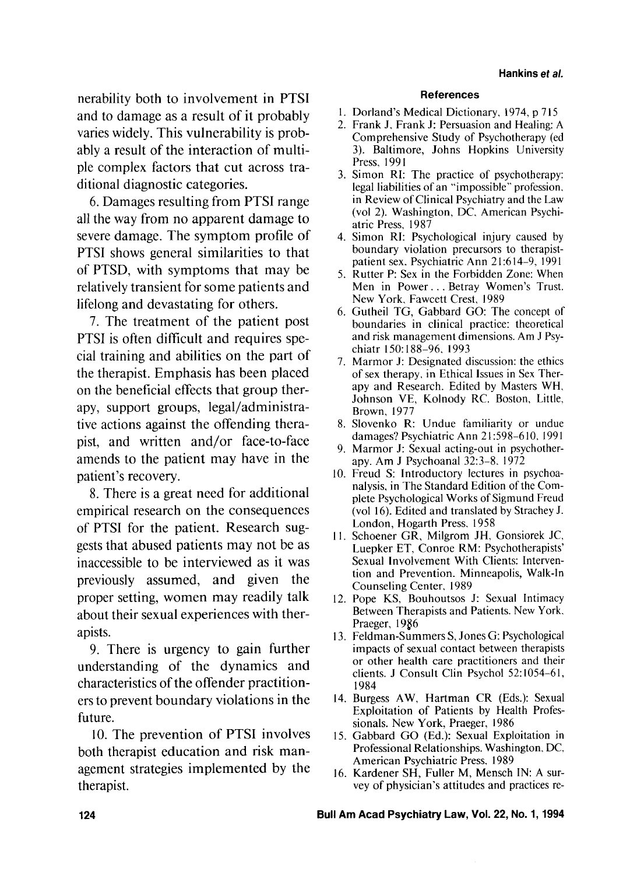nerability both to involvement in PTSI and to damage as a result of it probably varies widely. This vulnerability is probably a result of the interaction of multiple complex factors that cut across traditional diagnostic categories.

6. Damages resulting from PTSI range all the way from no apparent damage to severe damage. The symptom profile of PTSI shows general similarities to that of PTSD, with symptoms that may be relatively transient for some patients and lifelong and devastating for others.

7. The treatment of the patient post PTSI is often difficult and requires special training and abilities on the part of the therapist. Emphasis has been placed on the beneficial effects that group therapy, support groups, legal/administrative actions against the offending therapist, and written and/or face-to-face amends to the patient may have in the patient's recovery.

8. There is a great need for additional empirical research on the consequences of PTSI for the patient. Research suggests that abused patients may not be as inaccessible to be interviewed as it was previously assumed, and given the proper setting, women may readily talk about their sexual experiences with therapists.

9. There is urgency to gain further understanding of the dynamics and characteristics of the offender practitioners to prevent boundary violations in the future.

10. The prevention of PTSI involves both therapist education and risk management strategies implemented by the therapist.

#### **References**

- 1. Dorland's Medical Dictionary, 1974, p 715
- 2. Frank J, Frank J: Persuasion and Healing: A Comprehensive Study of Psychotherapy (ed **3).** Baltimore, Johns Hopkins University Press, 1991
- 3. Simon RI: The practice of psychotherapy: legal liabilities of an "impossible" profession. in Review of Clinical Psychiatry and the Law (vol 2). Washington, DC. American Psychiatric Press, 1987
- 4. Simon RI: Psychological injury caused by boundary violation precursors to therapistpatient sex. Psychiatric Ann 21:614-9, 1991
- 5. Rutter P: Sex in the Forbidden Zone: When Men in Power. . . Betray Women's Trust. New York. Fawcett Crest. 1989
- Gutheil TG, Gabbard GO: The concept of boundaries in clinical practice: theoretical and risk management dimensions. Am J Psychiatr 150: 188-96. 1993
- 7. Marmor J: Designated discussion: the ethics of sex therapy, in Ethical Issues in Sex Therapy and Research. Edited by Masters WH. Johnson VE, Kolnody RC. Boston, Little. Brown, 1977
- Slovenko R: Undue familiarity or undue damages? Psychiatric Ann 21598-6 10. 1991
- 9. Marmor J: Sexual acting-out in psychotherapy. Am J Psychoanal 32:3-8. 1972
- Freud S: lntroductory lectures in psychoanalysis, in The Standard Edition of the Complete Psychological Works of Sigmund Freud (vol 16). Edited and translated by Strachey J. London, Hogarth Press. 1958
- 11. Schoener GR, Milgrom JH, Gonsiorek JC, Luepker ET, Conroe RM: Psychotherapists' Sexual Involvement With Clients: Intervention and Prevention. Minneapolis, Walk-in Counseling Center, 1989
- 12. Pope KS, Bouhoutsos J: Sexual Intimacy Between Therapists and Patients. New York. Praeger, 1986
- Feldman-Summers S, Jones G: Psychological impacts of sexual contact between therapists or other health care practitioners and their clients. J Consult Clin Psychol 52:1054-61, 1984
- 14. Burgess AW, Hartman CR (Eds.): Sexual Exploitation of Patients by Health Professionals. New York, Praeger, 1986
- Gabbard GO (Ed.): Sexual Exploitation in Professional Relationships. Washington. DC. American Psychiatric Press, 1989
- 16. Kardener SH, Fuller M, Mensch IN: A survey of physician's attitudes and practices re-

Bull **Am Acad Psychiatry Law,** Vol. **22, No. 1, 1994**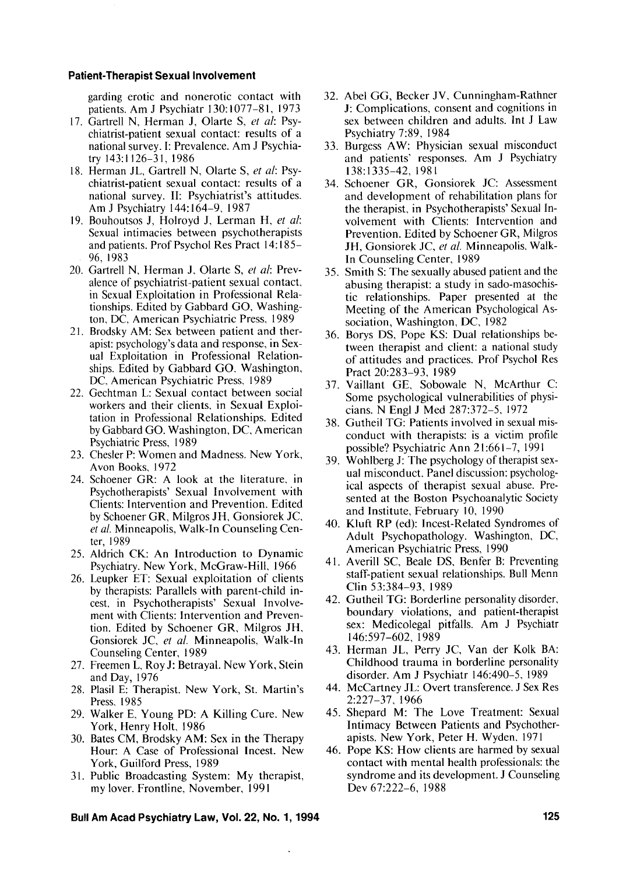garding erotic and nonerotic contact with patients. Am J Psychiatr 130: 1077-8 1, 1973

- 17. Gartrell N, Herman J, Olarte S, et al: Psychiatrist-patient sexual contact: results of a national survey. I: Prevalence. Am J Psychiatry 143: 1 126-3 1, I986
- 18. Herman JL, Gartrell N, Olarte S, et al: Psychiatrist-patient sexual contact: results of a national survey. 11: Psychiatrist's attitudes. Am J Psychiatry 144: 164-9, 1987
- Bouhoutsos J, Holroyd J, Lerman H, *et a/:*  Sexual intimacies between psychotherapists and patients. Prof Psychol Res Pract 14: 185- 96, 1983
- 20. Gartrell N, Herman J, Olarte S, et al: Prevalence of psychiatrist-patient sexual contact. in Sexual Exploitation in Professional Relationships. Edited by Gabbard GO. Washington, DC, American Psychiatric Press. 1989
- 21. Brodsky AM: Sex between patient and therapist: psychology's data and response, in Sexual Exploitation in Professional Relationships. Edited by Gabbard GO. Washington, DC, American Psychiatric Press, I989
- 22. Gechtman L: Sexual contact between social workers and their clients, in Sexual Exploitation in Professional Relationships. Edited by Gabbard GO. Washington, DC, American Psychiatric Press, 1989
- 23. Chesler P: Women and Madness. New York, Avon Books, 1972
- 24. Schoener GR: A look at the literature, in Psychotherapists' Sexual Involvement with Clients: Intervention and Prevention. Edited by Schoener GR, Milgros JH, Gonsiorek JC, *et a/.* Minneapolis, Walk-In Counseling Center, 1989
- 25. Aldrich CK: An Introduction to Dynamic Psychiatry. New York, McGraw-Hill, 1966
- Leupker ET: Sexual exploitation of clients by therapists: Parallels with parent-child incest. in Psychotherapists' Sexual Involvement with Clients: Intervention and Prevention. Edited by Schoener GR, Milgros JH, Gonsiorek JC, *et a/.* Minneapolis, Walk-In Counseling Center, 1989
- 27. Freemen L, Roy J: Betrayal. New York, Stein and Day, 1976
- 28. Plasil E: Therapist. New York, St. Martin's Press. 1985
- Walker E. Young PD: A Killing Cure. New York, Henry Holt, 1986
- 30. Bates CM, Brodsky AM: Sex in the Therapy Hour: A Case of Professional Incest. New York, Guilford Press, 1989
- 31. Public Broadcasting System: My therapist, my lover. Frontline, November, 1991
- 32. Abel GG, Becker JV, Cunningham-Rathner J: Complications, consent and cognitions in sex between children and adults. Int J Law Psychiatry 7:89, 1984
- 33. Burgess AW: Physician sexual misconduct and patients' responses. Am J Psychiatry 138: 1335-42, I98 1
- 34. Schoener GR, Gonsiorek JC: Assessment and development of rehabilitation plans for the therapist, in Psychotherapists' Sexual Involvement with Clients: Intervention and Prevention. Edited by Schoener GR, Milgros JH, Gonsiorek JC, et al. Minneapolis, Walk-In Counseling Center, 1989
- 35. Smith S: The sexually abused patient and the abusing therapist: a study in sado-masochistic relationships. Paper presented at the Meeting of the American Psychological Association, Washington. DC, 1982
- 36. Borys DS, Pope KS: Dual relationships between therapist and client: a national study of attitudes and practices. Prof Psychol Res Pract 20:283-93, 1989
- 37. Vaillant GE. Sobowale N, McArthur C: Some psychological vulnerabilities of physicians. N Engl J Med 287:372-5, 1972
- 38. Gutheil TG: Patients involved in sexual misconduct with therapists: is a victim profile possible? Psychiatric Ann 21:661-7, 1991
- 39. Wohlberg J: The psychology of therapist sexual misconduct. Panel discussion: psychological aspects of therapist sexual abuse. Presented at the Boston Psychoanalytic Society and Institute, February 10, 1990
- 40. Kluft RP (ed): Incest-Related Syndromes of Adult Psychopathology. Washington, DC, American Psychiatric Press, 1990
- 41. Averill SC, Beale DS, Benfer B: Preventing staff-patient sexual relationships. Bull Menn Clin 53:384-93, 1989
- 42. Gutheil TG: Borderline personality disorder, boundary violations, and patient-therapist sex: Medicolegal pitfalls. Am J Psychiatr 146:597-602, I989
- 43. Herman JL, Perry JC, Van der Kolk BA: Childhood trauma in borderline personality disorder. Am J Psychiatr 146:490-5, 1989
- 44. McCartney JL: Overt transference. J Sex Res 2:227-37, 1966
- 45. Shepard M: The Love Treatment: Sexual Intimacy Between Patients and Psychotherapists. New York, Peter H. Wyden. 197 1
- 46. Pope KS: How clients are harmed by sexual contact with mental health professionals: the syndrome and its development. J Counseling Dev 67:222-6, 1988

**Bull Am Acad Psychiatry Law, Vol. 22, No. 1, 1994**